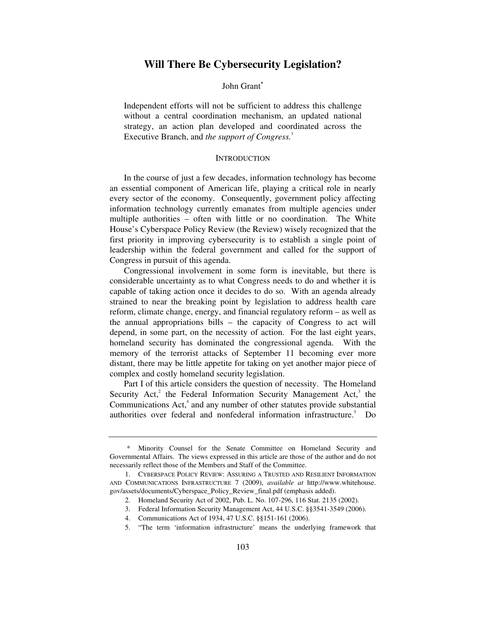# **Will There Be Cybersecurity Legislation?**

# John Grant<sup>\*</sup>

Independent efforts will not be sufficient to address this challenge without a central coordination mechanism, an updated national strategy, an action plan developed and coordinated across the Executive Branch, and *the support of Congress*.<sup>1</sup>

#### **INTRODUCTION**

In the course of just a few decades, information technology has become an essential component of American life, playing a critical role in nearly every sector of the economy. Consequently, government policy affecting information technology currently emanates from multiple agencies under multiple authorities – often with little or no coordination. The White House's Cyberspace Policy Review (the Review) wisely recognized that the first priority in improving cybersecurity is to establish a single point of leadership within the federal government and called for the support of Congress in pursuit of this agenda.

Congressional involvement in some form is inevitable, but there is considerable uncertainty as to what Congress needs to do and whether it is capable of taking action once it decides to do so. With an agenda already strained to near the breaking point by legislation to address health care reform, climate change, energy, and financial regulatory reform – as well as the annual appropriations bills – the capacity of Congress to act will depend, in some part, on the necessity of action. For the last eight years, homeland security has dominated the congressional agenda. With the memory of the terrorist attacks of September 11 becoming ever more distant, there may be little appetite for taking on yet another major piece of complex and costly homeland security legislation.

Part I of this article considers the question of necessity. The Homeland Security Act, $2$  the Federal Information Security Management Act, $3$  the Communications Act,<sup>4</sup> and any number of other statutes provide substantial authorities over federal and nonfederal information infrastructure.<sup>5</sup> Do

 <sup>\*</sup> Minority Counsel for the Senate Committee on Homeland Security and Governmental Affairs. The views expressed in this article are those of the author and do not necessarily reflect those of the Members and Staff of the Committee.

 <sup>1.</sup> CYBERSPACE POLICY REVIEW: ASSURING A TRUSTED AND RESILIENT INFORMATION AND COMMUNICATIONS INFRASTRUCTURE 7 (2009), *available at* http://www.whitehouse. gov/assets/documents/Cyberspace\_Policy\_Review\_final.pdf (emphasis added).

 <sup>2.</sup> Homeland Security Act of 2002, Pub. L. No. 107-296, 116 Stat. 2135 (2002).

 <sup>3.</sup> Federal Information Security Management Act, 44 U.S.C. §§3541-3549 (2006).

 <sup>4.</sup> Communications Act of 1934, 47 U.S.C. §§151-161 (2006).

 <sup>5. &</sup>quot;The term 'information infrastructure' means the underlying framework that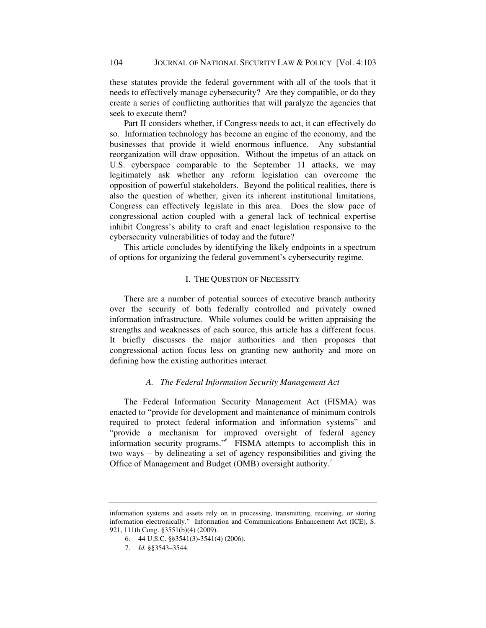these statutes provide the federal government with all of the tools that it needs to effectively manage cybersecurity? Are they compatible, or do they create a series of conflicting authorities that will paralyze the agencies that seek to execute them?

Part II considers whether, if Congress needs to act, it can effectively do so. Information technology has become an engine of the economy, and the businesses that provide it wield enormous influence. Any substantial reorganization will draw opposition. Without the impetus of an attack on U.S. cyberspace comparable to the September 11 attacks, we may legitimately ask whether any reform legislation can overcome the opposition of powerful stakeholders. Beyond the political realities, there is also the question of whether, given its inherent institutional limitations, Congress can effectively legislate in this area. Does the slow pace of congressional action coupled with a general lack of technical expertise inhibit Congress's ability to craft and enact legislation responsive to the cybersecurity vulnerabilities of today and the future?

This article concludes by identifying the likely endpoints in a spectrum of options for organizing the federal government's cybersecurity regime.

# I. THE QUESTION OF NECESSITY

There are a number of potential sources of executive branch authority over the security of both federally controlled and privately owned information infrastructure. While volumes could be written appraising the strengths and weaknesses of each source, this article has a different focus. It briefly discusses the major authorities and then proposes that congressional action focus less on granting new authority and more on defining how the existing authorities interact.

# *A. The Federal Information Security Management Act*

The Federal Information Security Management Act (FISMA) was enacted to "provide for development and maintenance of minimum controls required to protect federal information and information systems" and "provide a mechanism for improved oversight of federal agency information security programs."<sup>6</sup> FISMA attempts to accomplish this in two ways – by delineating a set of agency responsibilities and giving the Office of Management and Budget (OMB) oversight authority.<sup>7</sup>

information systems and assets rely on in processing, transmitting, receiving, or storing information electronically." Information and Communications Enhancement Act (ICE), S. 921, 111th Cong. §3551(b)(4) (2009).

 <sup>6. 44</sup> U.S.C. §§3541(3)-3541(4) (2006).

 <sup>7.</sup> *Id.* §§3543–3544.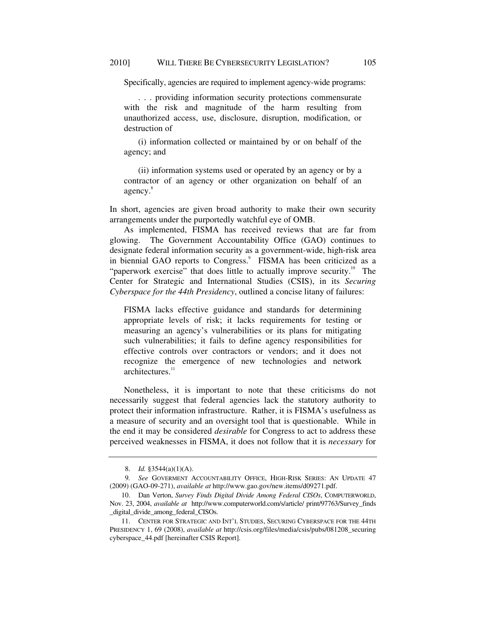Specifically, agencies are required to implement agency-wide programs:

. . . providing information security protections commensurate with the risk and magnitude of the harm resulting from unauthorized access, use, disclosure, disruption, modification, or destruction of

(i) information collected or maintained by or on behalf of the agency; and

(ii) information systems used or operated by an agency or by a contractor of an agency or other organization on behalf of an agency.<sup>8</sup>

In short, agencies are given broad authority to make their own security arrangements under the purportedly watchful eye of OMB.

As implemented, FISMA has received reviews that are far from glowing. The Government Accountability Office (GAO) continues to designate federal information security as a government-wide, high-risk area in biennial GAO reports to Congress.<sup>9</sup> FISMA has been criticized as a "paperwork exercise" that does little to actually improve security.<sup>10</sup> The Center for Strategic and International Studies (CSIS), in its *Securing Cyberspace for the 44th Presidency*, outlined a concise litany of failures:

FISMA lacks effective guidance and standards for determining appropriate levels of risk; it lacks requirements for testing or measuring an agency's vulnerabilities or its plans for mitigating such vulnerabilities; it fails to define agency responsibilities for effective controls over contractors or vendors; and it does not recognize the emergence of new technologies and network architectures.<sup>11</sup>

Nonetheless, it is important to note that these criticisms do not necessarily suggest that federal agencies lack the statutory authority to protect their information infrastructure. Rather, it is FISMA's usefulness as a measure of security and an oversight tool that is questionable. While in the end it may be considered *desirable* for Congress to act to address these perceived weaknesses in FISMA, it does not follow that it is *necessary* for

 <sup>8.</sup> *Id.* §3544(a)(1)(A).

<sup>9</sup>*. See* GOVERMENT ACCOUNTABILITY OFFICE, HIGH-RISK SERIES: AN UPDATE 47 (2009) (GAO-09-271), *available at* http://www.gao.gov/new.items/d09271.pdf.

 <sup>10.</sup> Dan Verton, *Survey Finds Digital Divide Among Federal CISOs*, COMPUTERWORLD, Nov. 23, 2004, *available at* http://www.computerworld.com/s/article/ print/97763/Survey\_finds \_digital\_divide\_among\_federal\_CISOs.

 <sup>11.</sup> CENTER FOR STRATEGIC AND INT'L STUDIES, SECURING CYBERSPACE FOR THE 44TH PRESIDENCY 1, 69 (2008), *available at* http://csis.org/files/media/csis/pubs/081208\_securing cyberspace\_44.pdf [hereinafter CSIS Report].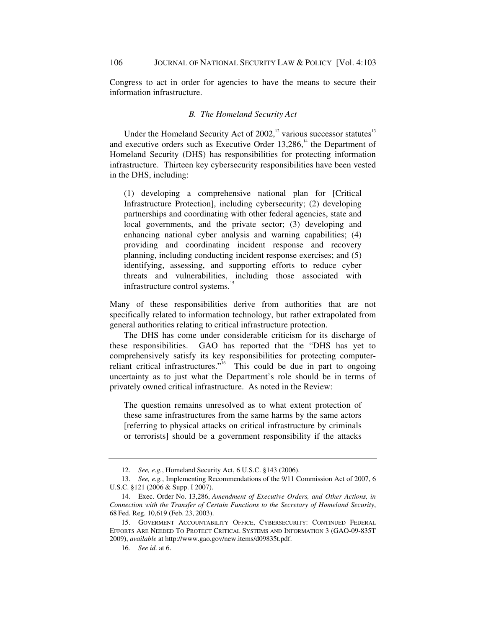Congress to act in order for agencies to have the means to secure their information infrastructure.

#### *B. The Homeland Security Act*

Under the Homeland Security Act of  $2002<sup>12</sup>$  various successor statutes<sup>13</sup> and executive orders such as Executive Order  $13,286$ ,<sup>14</sup> the Department of Homeland Security (DHS) has responsibilities for protecting information infrastructure. Thirteen key cybersecurity responsibilities have been vested in the DHS, including:

(1) developing a comprehensive national plan for [Critical Infrastructure Protection], including cybersecurity; (2) developing partnerships and coordinating with other federal agencies, state and local governments, and the private sector; (3) developing and enhancing national cyber analysis and warning capabilities; (4) providing and coordinating incident response and recovery planning, including conducting incident response exercises; and (5) identifying, assessing, and supporting efforts to reduce cyber threats and vulnerabilities, including those associated with infrastructure control systems.<sup>15</sup>

Many of these responsibilities derive from authorities that are not specifically related to information technology, but rather extrapolated from general authorities relating to critical infrastructure protection.

The DHS has come under considerable criticism for its discharge of these responsibilities. GAO has reported that the "DHS has yet to comprehensively satisfy its key responsibilities for protecting computerreliant critical infrastructures."<sup>16</sup> This could be due in part to ongoing uncertainty as to just what the Department's role should be in terms of privately owned critical infrastructure. As noted in the Review:

The question remains unresolved as to what extent protection of these same infrastructures from the same harms by the same actors [referring to physical attacks on critical infrastructure by criminals or terrorists] should be a government responsibility if the attacks

 <sup>12.</sup> *See, e.g.*, Homeland Security Act, 6 U.S.C. §143 (2006).

 <sup>13.</sup> *See, e.g.*, Implementing Recommendations of the 9/11 Commission Act of 2007, 6 U.S.C. §121 (2006 & Supp. I 2007).

 <sup>14.</sup> Exec. Order No. 13,286, *Amendment of Executive Orders, and Other Actions, in Connection with the Transfer of Certain Functions to the Secretary of Homeland Security*, 68 Fed. Reg. 10,619 (Feb. 23, 2003).

 <sup>15.</sup> GOVERMENT ACCOUNTABILITY OFFICE, CYBERSECURITY: CONTINUED FEDERAL EFFORTS ARE NEEDED TO PROTECT CRITICAL SYSTEMS AND INFORMATION 3 (GAO-09-835T 2009), *available* at http://www.gao.gov/new.items/d09835t.pdf.

<sup>16</sup>*. See id.* at 6.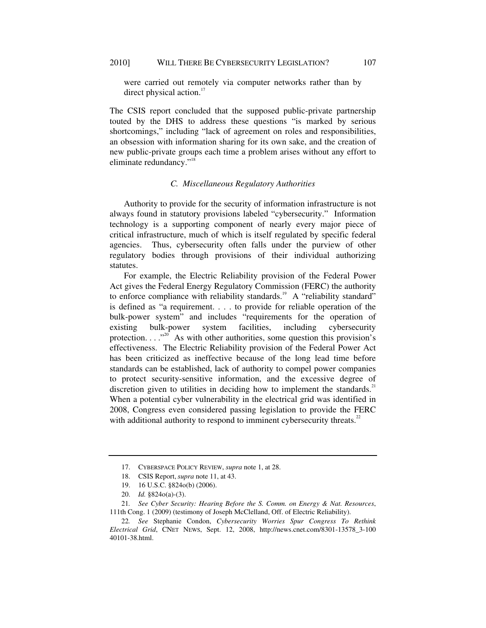were carried out remotely via computer networks rather than by direct physical action.<sup>17</sup>

The CSIS report concluded that the supposed public-private partnership touted by the DHS to address these questions "is marked by serious shortcomings," including "lack of agreement on roles and responsibilities, an obsession with information sharing for its own sake, and the creation of new public-private groups each time a problem arises without any effort to eliminate redundancy."<sup>18</sup>

### *C. Miscellaneous Regulatory Authorities*

Authority to provide for the security of information infrastructure is not always found in statutory provisions labeled "cybersecurity." Information technology is a supporting component of nearly every major piece of critical infrastructure, much of which is itself regulated by specific federal agencies. Thus, cybersecurity often falls under the purview of other regulatory bodies through provisions of their individual authorizing statutes.

For example, the Electric Reliability provision of the Federal Power Act gives the Federal Energy Regulatory Commission (FERC) the authority to enforce compliance with reliability standards.<sup>19</sup> A "reliability standard" is defined as "a requirement. . . . to provide for reliable operation of the bulk-power system" and includes "requirements for the operation of existing bulk-power system facilities, including cybersecurity protection.  $\ldots$ <sup>20</sup> As with other authorities, some question this provision's effectiveness. The Electric Reliability provision of the Federal Power Act has been criticized as ineffective because of the long lead time before standards can be established, lack of authority to compel power companies to protect security-sensitive information, and the excessive degree of discretion given to utilities in deciding how to implement the standards. $21$ When a potential cyber vulnerability in the electrical grid was identified in 2008, Congress even considered passing legislation to provide the FERC with additional authority to respond to imminent cybersecurity threats. $22$ 

 <sup>17.</sup> CYBERSPACE POLICY REVIEW, *supra* note 1, at 28.

 <sup>18.</sup> CSIS Report, *supra* note 11, at 43.

 <sup>19. 16</sup> U.S.C. §824o(b) (2006).

 <sup>20.</sup> *Id.* §824o(a)-(3).

<sup>21</sup>*. See Cyber Security: Hearing Before the S. Comm. on Energy & Nat. Resources*, 111th Cong. 1 (2009) (testimony of Joseph McClelland, Off. of Electric Reliability).

<sup>22</sup>*. See* Stephanie Condon, *Cybersecurity Worries Spur Congress To Rethink Electrical Grid*, CNET NEWS, Sept. 12, 2008, http://news.cnet.com/8301-13578\_3-100 40101-38.html.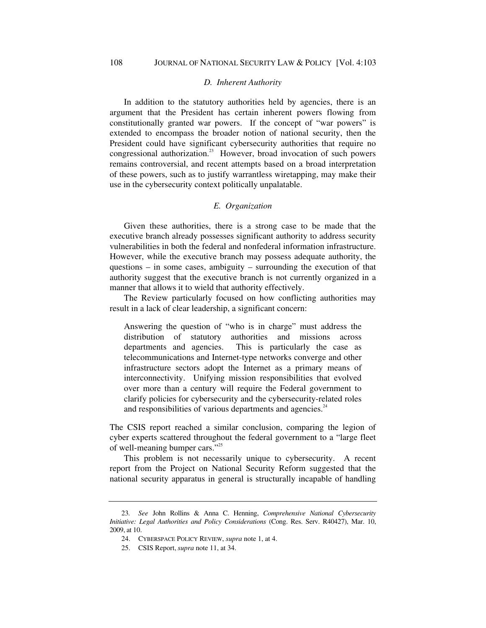### *D. Inherent Authority*

In addition to the statutory authorities held by agencies, there is an argument that the President has certain inherent powers flowing from constitutionally granted war powers. If the concept of "war powers" is extended to encompass the broader notion of national security, then the President could have significant cybersecurity authorities that require no congressional authorization.<sup>23</sup> However, broad invocation of such powers remains controversial, and recent attempts based on a broad interpretation of these powers, such as to justify warrantless wiretapping, may make their use in the cybersecurity context politically unpalatable.

### *E. Organization*

Given these authorities, there is a strong case to be made that the executive branch already possesses significant authority to address security vulnerabilities in both the federal and nonfederal information infrastructure. However, while the executive branch may possess adequate authority, the questions – in some cases, ambiguity – surrounding the execution of that authority suggest that the executive branch is not currently organized in a manner that allows it to wield that authority effectively.

The Review particularly focused on how conflicting authorities may result in a lack of clear leadership, a significant concern:

Answering the question of "who is in charge" must address the distribution of statutory authorities and missions across departments and agencies. This is particularly the case as telecommunications and Internet-type networks converge and other infrastructure sectors adopt the Internet as a primary means of interconnectivity. Unifying mission responsibilities that evolved over more than a century will require the Federal government to clarify policies for cybersecurity and the cybersecurity-related roles and responsibilities of various departments and agencies. $24$ 

The CSIS report reached a similar conclusion, comparing the legion of cyber experts scattered throughout the federal government to a "large fleet of well-meaning bumper cars."<sup>25</sup>

This problem is not necessarily unique to cybersecurity. A recent report from the Project on National Security Reform suggested that the national security apparatus in general is structurally incapable of handling

<sup>23</sup>*. See* John Rollins & Anna C. Henning, *Comprehensive National Cybersecurity Initiative: Legal Authorities and Policy Considerations* (Cong. Res. Serv. R40427), Mar. 10, 2009, at 10.

 <sup>24.</sup> CYBERSPACE POLICY REVIEW, *supra* note 1, at 4.

 <sup>25.</sup> CSIS Report, *supra* note 11, at 34.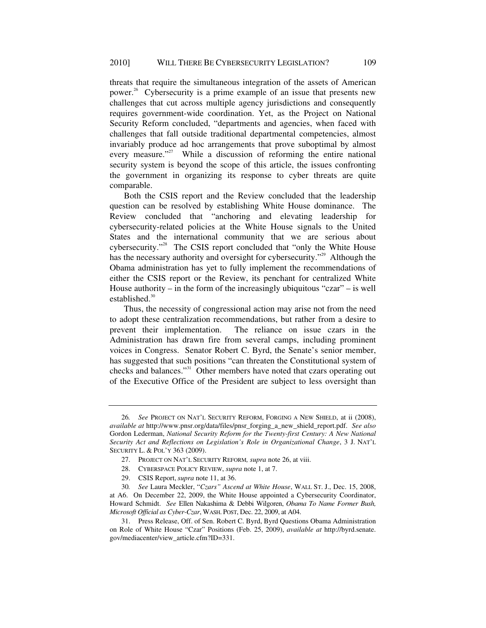threats that require the simultaneous integration of the assets of American power.26 Cybersecurity is a prime example of an issue that presents new challenges that cut across multiple agency jurisdictions and consequently requires government-wide coordination. Yet, as the Project on National Security Reform concluded, "departments and agencies, when faced with challenges that fall outside traditional departmental competencies, almost invariably produce ad hoc arrangements that prove suboptimal by almost every measure."<sup>27</sup> While a discussion of reforming the entire national security system is beyond the scope of this article, the issues confronting the government in organizing its response to cyber threats are quite comparable.

Both the CSIS report and the Review concluded that the leadership question can be resolved by establishing White House dominance. The Review concluded that "anchoring and elevating leadership for cybersecurity-related policies at the White House signals to the United States and the international community that we are serious about cybersecurity."<sup>28</sup> The CSIS report concluded that "only the White House" has the necessary authority and oversight for cybersecurity."<sup>29</sup> Although the Obama administration has yet to fully implement the recommendations of either the CSIS report or the Review, its penchant for centralized White House authority – in the form of the increasingly ubiquitous "czar" – is well established.<sup>30</sup>

Thus, the necessity of congressional action may arise not from the need to adopt these centralization recommendations, but rather from a desire to prevent their implementation. The reliance on issue czars in the Administration has drawn fire from several camps, including prominent voices in Congress. Senator Robert C. Byrd, the Senate's senior member, has suggested that such positions "can threaten the Constitutional system of checks and balances."31 Other members have noted that czars operating out of the Executive Office of the President are subject to less oversight than

<sup>26</sup>*. See* PROJECT ON NAT'L SECURITY REFORM, FORGING A NEW SHIELD, at ii (2008), *available at* http://www.pnsr.org/data/files/pnsr\_forging\_a\_new\_shield\_report.pdf. *See also* Gordon Lederman, *National Security Reform for the Twenty-first Century: A New National Security Act and Reflections on Legislation's Role in Organizational Change*, 3 J. NAT'L SECURITY L. & POL'Y 363 (2009).

 <sup>27.</sup> PROJECT ON NAT'L SECURITY REFORM*, supra* note 26, at viii.

 <sup>28.</sup> CYBERSPACE POLICY REVIEW, *supra* note 1, at 7.

 <sup>29.</sup> CSIS Report, *supra* note 11, at 36.

<sup>30</sup>*. See* Laura Meckler, "*Czars" Ascend at White House*, WALL ST. J., Dec. 15, 2008, at A6. On December 22, 2009, the White House appointed a Cybersecurity Coordinator, Howard Schmidt. *See* Ellen Nakashima & Debbi Wilgoren, *Obama To Name Former Bush, Microsoft Official as Cyber-Czar*, WASH. POST, Dec. 22, 2009, at A04.

 <sup>31.</sup> Press Release, Off. of Sen. Robert C. Byrd, Byrd Questions Obama Administration on Role of White House "Czar" Positions (Feb. 25, 2009), *available at* http://byrd.senate. gov/mediacenter/view\_article.cfm?ID=331.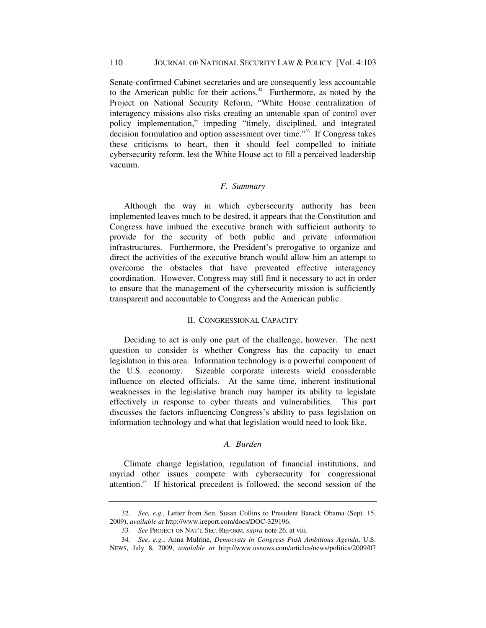#### 110 JOURNAL OF NATIONAL SECURITY LAW & POLICY[Vol. 4:103

Senate-confirmed Cabinet secretaries and are consequently less accountable to the American public for their actions.<sup>32</sup> Furthermore, as noted by the Project on National Security Reform, "White House centralization of interagency missions also risks creating an untenable span of control over policy implementation," impeding "timely, disciplined, and integrated decision formulation and option assessment over time."<sup>33</sup> If Congress takes these criticisms to heart, then it should feel compelled to initiate cybersecurity reform, lest the White House act to fill a perceived leadership vacuum.

## *F. Summary*

Although the way in which cybersecurity authority has been implemented leaves much to be desired, it appears that the Constitution and Congress have imbued the executive branch with sufficient authority to provide for the security of both public and private information infrastructures. Furthermore, the President's prerogative to organize and direct the activities of the executive branch would allow him an attempt to overcome the obstacles that have prevented effective interagency coordination. However, Congress may still find it necessary to act in order to ensure that the management of the cybersecurity mission is sufficiently transparent and accountable to Congress and the American public.

#### II. CONGRESSIONAL CAPACITY

Deciding to act is only one part of the challenge, however. The next question to consider is whether Congress has the capacity to enact legislation in this area. Information technology is a powerful component of the U.S. economy. Sizeable corporate interests wield considerable influence on elected officials. At the same time, inherent institutional weaknesses in the legislative branch may hamper its ability to legislate effectively in response to cyber threats and vulnerabilities. This part discusses the factors influencing Congress's ability to pass legislation on information technology and what that legislation would need to look like.

### *A. Burden*

Climate change legislation, regulation of financial institutions, and myriad other issues compete with cybersecurity for congressional attention.34 If historical precedent is followed, the second session of the

<sup>32</sup>*. See, e.g.*, Letter from Sen. Susan Collins to President Barack Obama (Sept. 15, 2009), *available at* http://www.ireport.com/docs/DOC-329196.

<sup>33</sup>*. See* PROJECT ON NAT'L SEC. REFORM, *supra* note 26, at viii.

<sup>34</sup>*. See*, *e.g.*, Anna Mulrine, *Democrats in Congress Push Ambitious Agenda*, U.S. NEWS, July 8, 2009, *available at* http://www.usnews.com/articles/news/politics/2009/07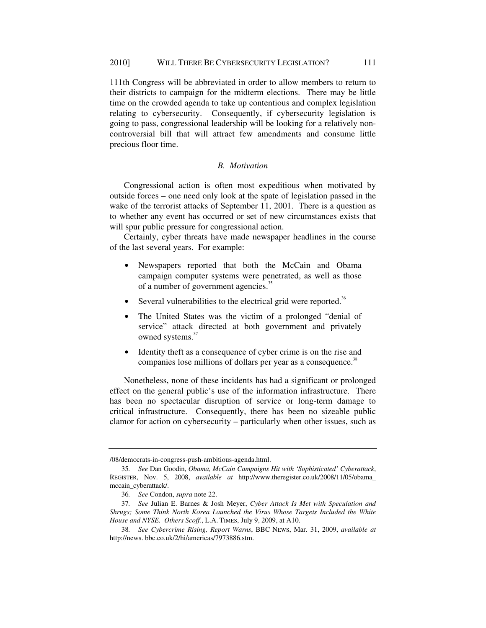111th Congress will be abbreviated in order to allow members to return to their districts to campaign for the midterm elections. There may be little time on the crowded agenda to take up contentious and complex legislation relating to cybersecurity. Consequently, if cybersecurity legislation is going to pass, congressional leadership will be looking for a relatively noncontroversial bill that will attract few amendments and consume little precious floor time.

# *B. Motivation*

Congressional action is often most expeditious when motivated by outside forces – one need only look at the spate of legislation passed in the wake of the terrorist attacks of September 11, 2001. There is a question as to whether any event has occurred or set of new circumstances exists that will spur public pressure for congressional action.

Certainly, cyber threats have made newspaper headlines in the course of the last several years. For example:

- Newspapers reported that both the McCain and Obama campaign computer systems were penetrated, as well as those of a number of government agencies.<sup>35</sup>
- $\bullet$  Several vulnerabilities to the electrical grid were reported.<sup>36</sup>
- The United States was the victim of a prolonged "denial of service" attack directed at both government and privately owned systems.<sup>37</sup>
- Identity theft as a consequence of cyber crime is on the rise and companies lose millions of dollars per year as a consequence.<sup>38</sup>

Nonetheless, none of these incidents has had a significant or prolonged effect on the general public's use of the information infrastructure. There has been no spectacular disruption of service or long-term damage to critical infrastructure. Consequently, there has been no sizeable public clamor for action on cybersecurity – particularly when other issues, such as

<sup>/08/</sup>democrats-in-congress-push-ambitious-agenda.html.

<sup>35</sup>*. See* Dan Goodin, *Obama, McCain Campaigns Hit with 'Sophisticated' Cyberattack*, REGISTER, Nov. 5, 2008, *available at* http://www.theregister.co.uk/2008/11/05/obama\_ mccain\_cyberattack/.

<sup>36</sup>*. See* Condon, *supra* note 22.

<sup>37</sup>*. See* Julian E. Barnes & Josh Meyer, *Cyber Attack Is Met with Speculation and Shrugs; Some Think North Korea Launched the Virus Whose Targets Included the White House and NYSE. Others Scoff.*, L.A. TIMES, July 9, 2009, at A10.

<sup>38</sup>*. See Cybercrime Rising, Report Warns*, BBC NEWS, Mar. 31, 2009, *available at*  http://news. bbc.co.uk/2/hi/americas/7973886.stm.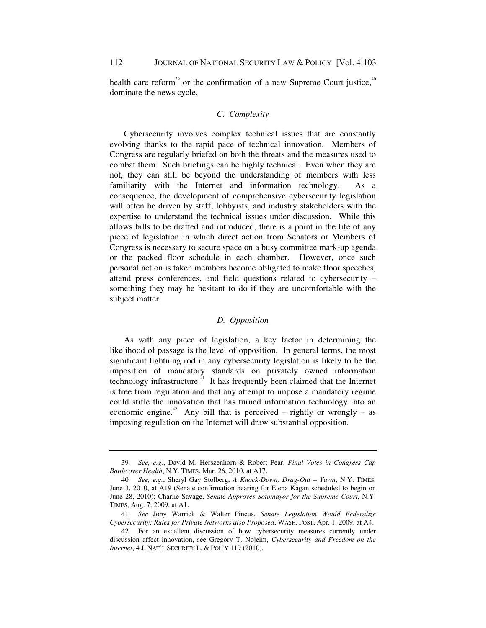health care reform<sup>39</sup> or the confirmation of a new Supreme Court justice, $40^{\circ}$ dominate the news cycle.

### *C. Complexity*

Cybersecurity involves complex technical issues that are constantly evolving thanks to the rapid pace of technical innovation. Members of Congress are regularly briefed on both the threats and the measures used to combat them. Such briefings can be highly technical. Even when they are not, they can still be beyond the understanding of members with less familiarity with the Internet and information technology. As a consequence, the development of comprehensive cybersecurity legislation will often be driven by staff, lobbyists, and industry stakeholders with the expertise to understand the technical issues under discussion. While this allows bills to be drafted and introduced, there is a point in the life of any piece of legislation in which direct action from Senators or Members of Congress is necessary to secure space on a busy committee mark-up agenda or the packed floor schedule in each chamber. However, once such personal action is taken members become obligated to make floor speeches, attend press conferences, and field questions related to cybersecurity – something they may be hesitant to do if they are uncomfortable with the subject matter.

# *D. Opposition*

As with any piece of legislation, a key factor in determining the likelihood of passage is the level of opposition. In general terms, the most significant lightning rod in any cybersecurity legislation is likely to be the imposition of mandatory standards on privately owned information technology infrastructure.<sup> $41$ </sup> It has frequently been claimed that the Internet is free from regulation and that any attempt to impose a mandatory regime could stifle the innovation that has turned information technology into an economic engine.<sup>42</sup> Any bill that is perceived – rightly or wrongly – as imposing regulation on the Internet will draw substantial opposition.

<sup>39</sup>*. See, e.g.*, David M. Herszenhorn & Robert Pear, *Final Votes in Congress Cap Battle over Health*, N.Y. TIMES, Mar. 26, 2010, at A17.

<sup>40</sup>*. See, e.g.*, Sheryl Gay Stolberg, *A Knock-Down, Drag-Out – Yawn*, N.Y. TIMES, June 3, 2010, at A19 (Senate confirmation hearing for Elena Kagan scheduled to begin on June 28, 2010); Charlie Savage, *Senate Approves Sotomayor for the Supreme Court*, N.Y. TIMES, Aug. 7, 2009, at A1.

<sup>41</sup>*. See* Joby Warrick & Walter Pincus, *Senate Legislation Would Federalize Cybersecurity; Rules for Private Networks also Proposed*, WASH. POST, Apr. 1, 2009, at A4.

<sup>42</sup>*.* For an excellent discussion of how cybersecurity measures currently under discussion affect innovation, see Gregory T. Nojeim, *Cybersecurity and Freedom on the Internet*, 4 J. NAT'L SECURITY L. & POL'Y 119 (2010).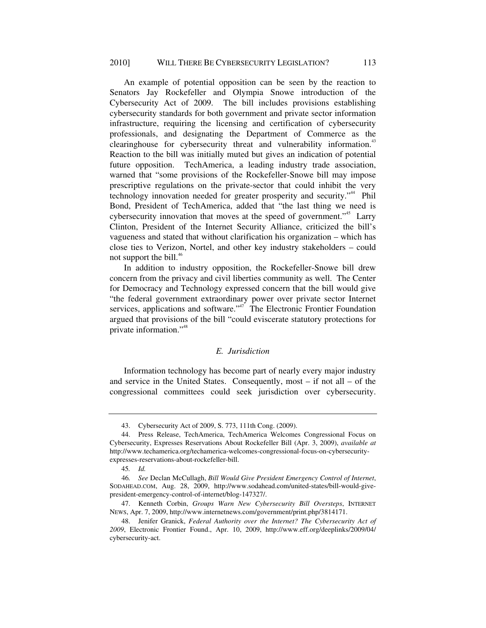An example of potential opposition can be seen by the reaction to Senators Jay Rockefeller and Olympia Snowe introduction of the Cybersecurity Act of 2009. The bill includes provisions establishing cybersecurity standards for both government and private sector information infrastructure, requiring the licensing and certification of cybersecurity professionals, and designating the Department of Commerce as the clearinghouse for cybersecurity threat and vulnerability information.<sup>43</sup> Reaction to the bill was initially muted but gives an indication of potential future opposition. TechAmerica, a leading industry trade association, warned that "some provisions of the Rockefeller-Snowe bill may impose prescriptive regulations on the private-sector that could inhibit the very technology innovation needed for greater prosperity and security."44 Phil Bond, President of TechAmerica, added that "the last thing we need is cybersecurity innovation that moves at the speed of government."<sup>45</sup> Larry Clinton, President of the Internet Security Alliance, criticized the bill's vagueness and stated that without clarification his organization – which has close ties to Verizon, Nortel, and other key industry stakeholders – could not support the bill.<sup>46</sup>

In addition to industry opposition, the Rockefeller-Snowe bill drew concern from the privacy and civil liberties community as well. The Center for Democracy and Technology expressed concern that the bill would give "the federal government extraordinary power over private sector Internet services, applications and software."<sup>47</sup> The Electronic Frontier Foundation argued that provisions of the bill "could eviscerate statutory protections for private information."<sup>48</sup>

# *E. Jurisdiction*

Information technology has become part of nearly every major industry and service in the United States. Consequently, most  $-$  if not all  $-$  of the congressional committees could seek jurisdiction over cybersecurity.

 <sup>43.</sup> Cybersecurity Act of 2009, S. 773, 111th Cong. (2009).

 <sup>44.</sup> Press Release, TechAmerica, TechAmerica Welcomes Congressional Focus on Cybersecurity, Expresses Reservations About Rockefeller Bill (Apr. 3, 2009), *available at*  http://www.techamerica.org/techamerica-welcomes-congressional-focus-on-cybersecurityexpresses-reservations-about-rockefeller-bill.

<sup>45</sup>*. Id.*

<sup>46</sup>*. See* Declan McCullagh, *Bill Would Give President Emergency Control of Internet*, SODAHEAD.COM, Aug. 28, 2009, http://www.sodahead.com/united-states/bill-would-givepresident-emergency-control-of-internet/blog-147327/.

 <sup>47.</sup> Kenneth Corbin, *Groups Warn New Cybersecurity Bill Oversteps*, INTERNET NEWS, Apr. 7, 2009, http://www.internetnews.com/government/print.php/3814171.

 <sup>48.</sup> Jenifer Granick, *Federal Authority over the Internet? The Cybersecurity Act of 2009*, Electronic Frontier Found., Apr. 10, 2009, http://www.eff.org/deeplinks/2009/04/ cybersecurity-act.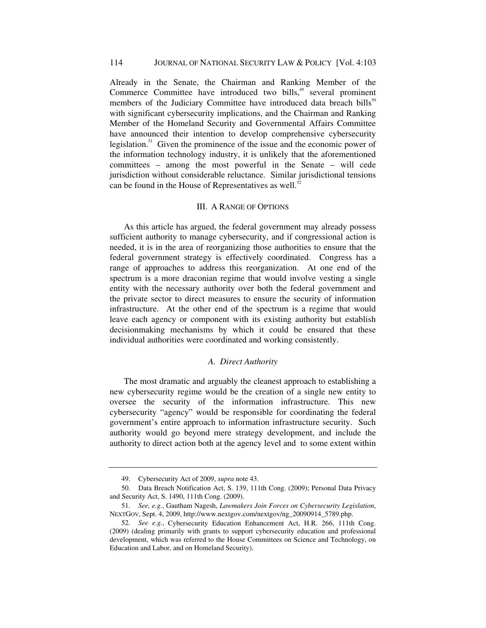#### 114 JOURNAL OF NATIONAL SECURITY LAW & POLICY[Vol. 4:103

Already in the Senate, the Chairman and Ranking Member of the Commerce Committee have introduced two bills, $49$  several prominent members of the Judiciary Committee have introduced data breach bills<sup>50</sup> with significant cybersecurity implications, and the Chairman and Ranking Member of the Homeland Security and Governmental Affairs Committee have announced their intention to develop comprehensive cybersecurity legislation.<sup>51</sup> Given the prominence of the issue and the economic power of the information technology industry, it is unlikely that the aforementioned committees – among the most powerful in the Senate – will cede jurisdiction without considerable reluctance. Similar jurisdictional tensions can be found in the House of Representatives as well.<sup>52</sup>

#### III. A RANGE OF OPTIONS

As this article has argued, the federal government may already possess sufficient authority to manage cybersecurity, and if congressional action is needed, it is in the area of reorganizing those authorities to ensure that the federal government strategy is effectively coordinated. Congress has a range of approaches to address this reorganization. At one end of the spectrum is a more draconian regime that would involve vesting a single entity with the necessary authority over both the federal government and the private sector to direct measures to ensure the security of information infrastructure. At the other end of the spectrum is a regime that would leave each agency or component with its existing authority but establish decisionmaking mechanisms by which it could be ensured that these individual authorities were coordinated and working consistently.

# *A. Direct Authority*

The most dramatic and arguably the cleanest approach to establishing a new cybersecurity regime would be the creation of a single new entity to oversee the security of the information infrastructure. This new cybersecurity "agency" would be responsible for coordinating the federal government's entire approach to information infrastructure security. Such authority would go beyond mere strategy development, and include the authority to direct action both at the agency level and to some extent within

 <sup>49.</sup> Cybersecurity Act of 2009, *supra* note 43.

 <sup>50.</sup> Data Breach Notification Act, S. 139, 111th Cong. (2009); Personal Data Privacy and Security Act, S. 1490, 111th Cong. (2009).

<sup>51</sup>*. See, e.g.*, Gautham Nagesh, *Lawmakers Join Forces on Cybersecurity Legislation*, NEXTGOV, Sept. 4, 2009, http://www.nextgov.com/nextgov/ng\_20090914\_5789.php.

<sup>52</sup>*. See e.g.*, Cybersecurity Education Enhancement Act, H.R. 266, 111th Cong. (2009) (dealing primarily with grants to support cybersecurity education and professional development, which was referred to the House Committees on Science and Technology, on Education and Labor, and on Homeland Security).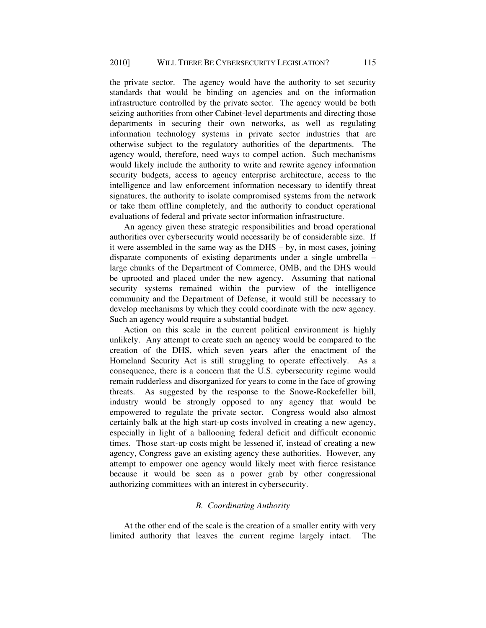the private sector. The agency would have the authority to set security standards that would be binding on agencies and on the information infrastructure controlled by the private sector. The agency would be both seizing authorities from other Cabinet-level departments and directing those departments in securing their own networks, as well as regulating information technology systems in private sector industries that are otherwise subject to the regulatory authorities of the departments. The agency would, therefore, need ways to compel action. Such mechanisms would likely include the authority to write and rewrite agency information security budgets, access to agency enterprise architecture, access to the intelligence and law enforcement information necessary to identify threat signatures, the authority to isolate compromised systems from the network or take them offline completely, and the authority to conduct operational evaluations of federal and private sector information infrastructure.

An agency given these strategic responsibilities and broad operational authorities over cybersecurity would necessarily be of considerable size. If it were assembled in the same way as the DHS – by, in most cases, joining disparate components of existing departments under a single umbrella – large chunks of the Department of Commerce, OMB, and the DHS would be uprooted and placed under the new agency. Assuming that national security systems remained within the purview of the intelligence community and the Department of Defense, it would still be necessary to develop mechanisms by which they could coordinate with the new agency. Such an agency would require a substantial budget.

Action on this scale in the current political environment is highly unlikely. Any attempt to create such an agency would be compared to the creation of the DHS, which seven years after the enactment of the Homeland Security Act is still struggling to operate effectively. As a consequence, there is a concern that the U.S. cybersecurity regime would remain rudderless and disorganized for years to come in the face of growing threats. As suggested by the response to the Snowe-Rockefeller bill, industry would be strongly opposed to any agency that would be empowered to regulate the private sector. Congress would also almost certainly balk at the high start-up costs involved in creating a new agency, especially in light of a ballooning federal deficit and difficult economic times. Those start-up costs might be lessened if, instead of creating a new agency, Congress gave an existing agency these authorities. However, any attempt to empower one agency would likely meet with fierce resistance because it would be seen as a power grab by other congressional authorizing committees with an interest in cybersecurity.

# *B. Coordinating Authority*

At the other end of the scale is the creation of a smaller entity with very limited authority that leaves the current regime largely intact. The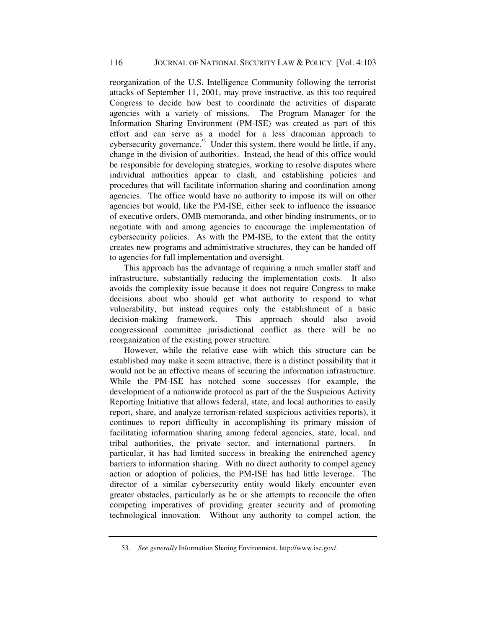reorganization of the U.S. Intelligence Community following the terrorist attacks of September 11, 2001, may prove instructive, as this too required Congress to decide how best to coordinate the activities of disparate agencies with a variety of missions. The Program Manager for the Information Sharing Environment (PM-ISE) was created as part of this effort and can serve as a model for a less draconian approach to cybersecurity governance.<sup>53</sup> Under this system, there would be little, if any, change in the division of authorities. Instead, the head of this office would be responsible for developing strategies, working to resolve disputes where individual authorities appear to clash, and establishing policies and procedures that will facilitate information sharing and coordination among agencies. The office would have no authority to impose its will on other agencies but would, like the PM-ISE, either seek to influence the issuance of executive orders, OMB memoranda, and other binding instruments, or to negotiate with and among agencies to encourage the implementation of cybersecurity policies. As with the PM-ISE, to the extent that the entity creates new programs and administrative structures, they can be handed off to agencies for full implementation and oversight.

This approach has the advantage of requiring a much smaller staff and infrastructure, substantially reducing the implementation costs. It also avoids the complexity issue because it does not require Congress to make decisions about who should get what authority to respond to what vulnerability, but instead requires only the establishment of a basic decision-making framework. This approach should also avoid congressional committee jurisdictional conflict as there will be no reorganization of the existing power structure.

However, while the relative ease with which this structure can be established may make it seem attractive, there is a distinct possibility that it would not be an effective means of securing the information infrastructure. While the PM-ISE has notched some successes (for example, the development of a nationwide protocol as part of the the Suspicious Activity Reporting Initiative that allows federal, state, and local authorities to easily report, share, and analyze terrorism-related suspicious activities reports), it continues to report difficulty in accomplishing its primary mission of facilitating information sharing among federal agencies, state, local, and tribal authorities, the private sector, and international partners. In particular, it has had limited success in breaking the entrenched agency barriers to information sharing. With no direct authority to compel agency action or adoption of policies, the PM-ISE has had little leverage. The director of a similar cybersecurity entity would likely encounter even greater obstacles, particularly as he or she attempts to reconcile the often competing imperatives of providing greater security and of promoting technological innovation. Without any authority to compel action, the

<sup>53</sup>*. See generally* Information Sharing Environment, http://www.ise.gov/.